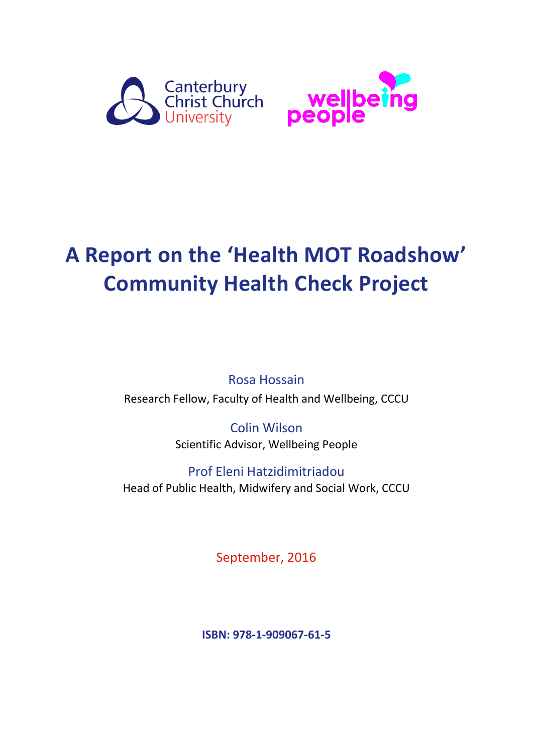



# **A Report on the 'Health MOT Roadshow' Community Health Check Project**

Rosa Hossain Research Fellow, Faculty of Health and Wellbeing, CCCU

> Colin Wilson Scientific Advisor, Wellbeing People

Prof Eleni Hatzidimitriadou Head of Public Health, Midwifery and Social Work, CCCU

September, 2016

**ISBN: 978-1-909067-61-5**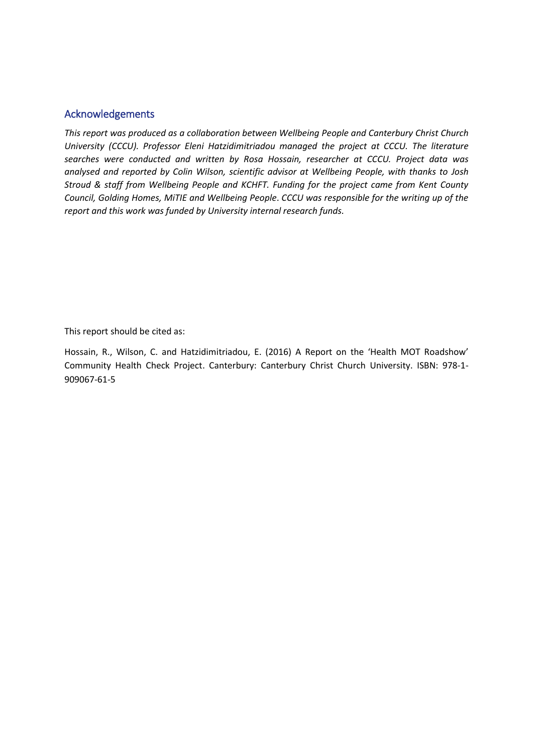#### Acknowledgements

*This report was produced as a collaboration between Wellbeing People and Canterbury Christ Church University (CCCU). Professor Eleni Hatzidimitriadou managed the project at CCCU. The literature searches were conducted and written by Rosa Hossain, researcher at CCCU. Project data was analysed and reported by Colin Wilson, scientific advisor at Wellbeing People, with thanks to Josh Stroud & staff from Wellbeing People and KCHFT. Funding for the project came from Kent County Council, Golding Homes, MiTIE and Wellbeing People*. *CCCU was responsible for the writing up of the report and this work was funded by University internal research funds.*

This report should be cited as:

Hossain, R., Wilson, C. and Hatzidimitriadou, E. (2016) A Report on the 'Health MOT Roadshow' Community Health Check Project. Canterbury: Canterbury Christ Church University. ISBN: 978-1- 909067-61-5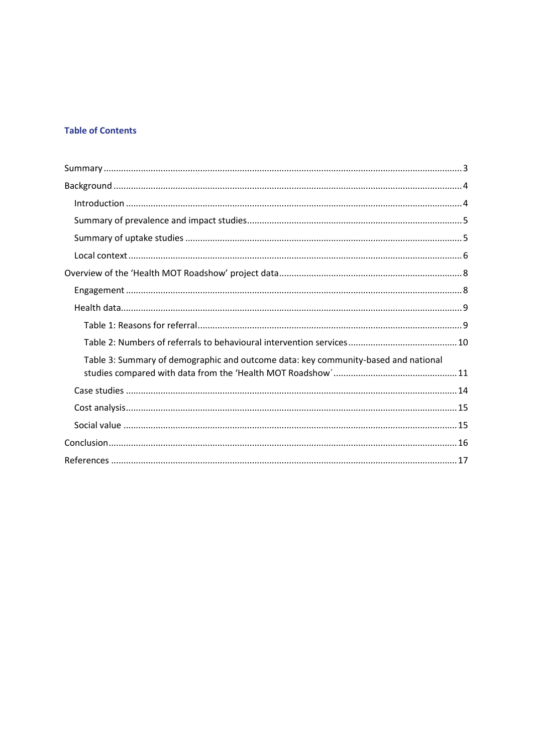#### **Table of Contents**

| Table 3: Summary of demographic and outcome data: key community-based and national |
|------------------------------------------------------------------------------------|
|                                                                                    |
|                                                                                    |
|                                                                                    |
|                                                                                    |
|                                                                                    |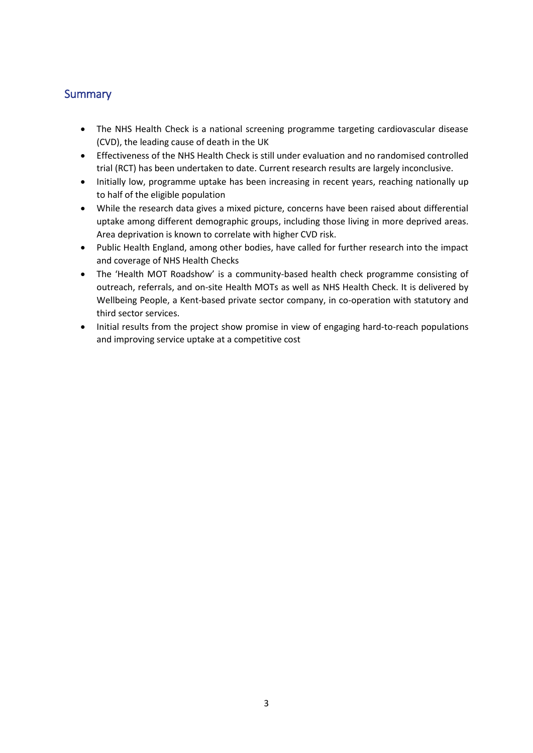# <span id="page-3-0"></span>**Summary**

- The NHS Health Check is a national screening programme targeting cardiovascular disease (CVD), the leading cause of death in the UK
- Effectiveness of the NHS Health Check is still under evaluation and no randomised controlled trial (RCT) has been undertaken to date. Current research results are largely inconclusive.
- Initially low, programme uptake has been increasing in recent years, reaching nationally up to half of the eligible population
- While the research data gives a mixed picture, concerns have been raised about differential uptake among different demographic groups, including those living in more deprived areas. Area deprivation is known to correlate with higher CVD risk.
- Public Health England, among other bodies, have called for further research into the impact and coverage of NHS Health Checks
- The 'Health MOT Roadshow' is a community-based health check programme consisting of outreach, referrals, and on-site Health MOTs as well as NHS Health Check. It is delivered by Wellbeing People, a Kent-based private sector company, in co-operation with statutory and third sector services.
- Initial results from the project show promise in view of engaging hard-to-reach populations and improving service uptake at a competitive cost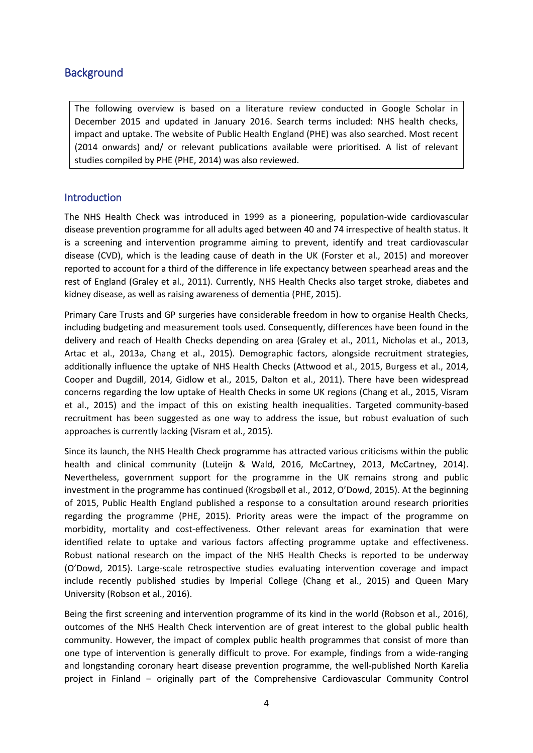# <span id="page-4-0"></span>**Background**

The following overview is based on a literature review conducted in Google Scholar in December 2015 and updated in January 2016. Search terms included: NHS health checks, impact and uptake. The website of Public Health England (PHE) was also searched. Most recent (2014 onwards) and/ or relevant publications available were prioritised. A list of relevant studies compiled by PHE (PHE, 2014) was also reviewed.

## <span id="page-4-1"></span>**Introduction**

The NHS Health Check was introduced in 1999 as a pioneering, population-wide cardiovascular disease prevention programme for all adults aged between 40 and 74 irrespective of health status. It is a screening and intervention programme aiming to prevent, identify and treat cardiovascular disease (CVD), which is the leading cause of death in the UK (Forster et al., 2015) and moreover reported to account for a third of the difference in life expectancy between spearhead areas and the rest of England (Graley et al., 2011). Currently, NHS Health Checks also target stroke, diabetes and kidney disease, as well as raising awareness of dementia (PHE, 2015).

Primary Care Trusts and GP surgeries have considerable freedom in how to organise Health Checks, including budgeting and measurement tools used. Consequently, differences have been found in the delivery and reach of Health Checks depending on area (Graley et al., 2011, Nicholas et al., 2013, Artac et al., 2013a, Chang et al., 2015). Demographic factors, alongside recruitment strategies, additionally influence the uptake of NHS Health Checks (Attwood et al., 2015, Burgess et al., 2014, Cooper and Dugdill, 2014, Gidlow et al., 2015, Dalton et al., 2011). There have been widespread concerns regarding the low uptake of Health Checks in some UK regions (Chang et al., 2015, Visram et al., 2015) and the impact of this on existing health inequalities. Targeted community-based recruitment has been suggested as one way to address the issue, but robust evaluation of such approaches is currently lacking (Visram et al., 2015).

Since its launch, the NHS Health Check programme has attracted various criticisms within the public health and clinical community (Luteijn & Wald, 2016, McCartney, 2013, McCartney, 2014). Nevertheless, government support for the programme in the UK remains strong and public investment in the programme has continued (Krogsbøll et al., 2012, O'Dowd, 2015). At the beginning of 2015, Public Health England published a response to a consultation around research priorities regarding the programme (PHE, 2015). Priority areas were the impact of the programme on morbidity, mortality and cost-effectiveness. Other relevant areas for examination that were identified relate to uptake and various factors affecting programme uptake and effectiveness. Robust national research on the impact of the NHS Health Checks is reported to be underway (O'Dowd, 2015). Large-scale retrospective studies evaluating intervention coverage and impact include recently published studies by Imperial College (Chang et al., 2015) and Queen Mary University (Robson et al., 2016).

Being the first screening and intervention programme of its kind in the world (Robson et al., 2016), outcomes of the NHS Health Check intervention are of great interest to the global public health community. However, the impact of complex public health programmes that consist of more than one type of intervention is generally difficult to prove. For example, findings from a wide-ranging and longstanding coronary heart disease prevention programme, the well-published North Karelia project in Finland – originally part of the Comprehensive Cardiovascular Community Control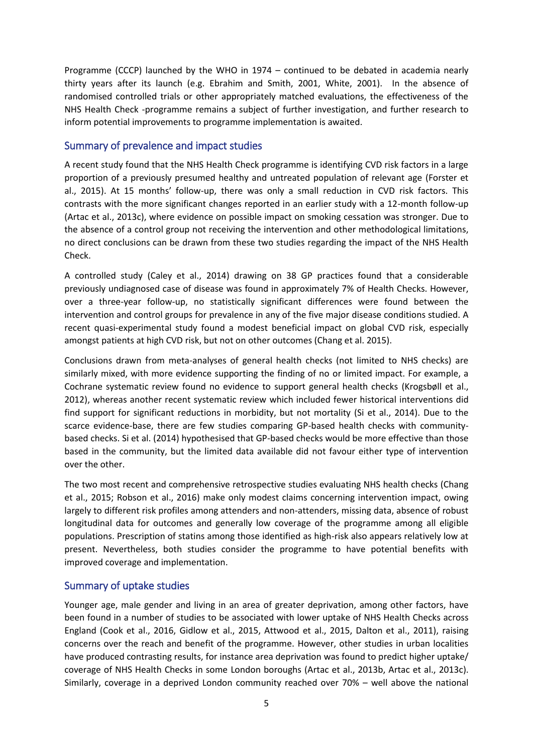Programme (CCCP) launched by the WHO in 1974 – continued to be debated in academia nearly thirty years after its launch (e.g. Ebrahim and Smith, 2001, White, 2001). In the absence of randomised controlled trials or other appropriately matched evaluations, the effectiveness of the NHS Health Check -programme remains a subject of further investigation, and further research to inform potential improvements to programme implementation is awaited.

#### <span id="page-5-0"></span>Summary of prevalence and impact studies

A recent study found that the NHS Health Check programme is identifying CVD risk factors in a large proportion of a previously presumed healthy and untreated population of relevant age (Forster et al., 2015). At 15 months' follow-up, there was only a small reduction in CVD risk factors. This contrasts with the more significant changes reported in an earlier study with a 12-month follow-up (Artac et al., 2013c), where evidence on possible impact on smoking cessation was stronger. Due to the absence of a control group not receiving the intervention and other methodological limitations, no direct conclusions can be drawn from these two studies regarding the impact of the NHS Health Check.

A controlled study (Caley et al., 2014) drawing on 38 GP practices found that a considerable previously undiagnosed case of disease was found in approximately 7% of Health Checks. However, over a three-year follow-up, no statistically significant differences were found between the intervention and control groups for prevalence in any of the five major disease conditions studied. A recent quasi-experimental study found a modest beneficial impact on global CVD risk, especially amongst patients at high CVD risk, but not on other outcomes (Chang et al. 2015).

Conclusions drawn from meta-analyses of general health checks (not limited to NHS checks) are similarly mixed, with more evidence supporting the finding of no or limited impact. For example, a Cochrane systematic review found no evidence to support general health checks (Krogsbøll et al., 2012), whereas another recent systematic review which included fewer historical interventions did find support for significant reductions in morbidity, but not mortality (Si et al., 2014). Due to the scarce evidence-base, there are few studies comparing GP-based health checks with communitybased checks. Si et al. (2014) hypothesised that GP-based checks would be more effective than those based in the community, but the limited data available did not favour either type of intervention over the other.

The two most recent and comprehensive retrospective studies evaluating NHS health checks (Chang et al., 2015; Robson et al., 2016) make only modest claims concerning intervention impact, owing largely to different risk profiles among attenders and non-attenders, missing data, absence of robust longitudinal data for outcomes and generally low coverage of the programme among all eligible populations. Prescription of statins among those identified as high-risk also appears relatively low at present. Nevertheless, both studies consider the programme to have potential benefits with improved coverage and implementation.

## <span id="page-5-1"></span>Summary of uptake studies

Younger age, male gender and living in an area of greater deprivation, among other factors, have been found in a number of studies to be associated with lower uptake of NHS Health Checks across England (Cook et al., 2016, Gidlow et al., 2015, Attwood et al., 2015, Dalton et al., 2011), raising concerns over the reach and benefit of the programme. However, other studies in urban localities have produced contrasting results, for instance area deprivation was found to predict higher uptake/ coverage of NHS Health Checks in some London boroughs (Artac et al., 2013b, Artac et al., 2013c). Similarly, coverage in a deprived London community reached over 70% – well above the national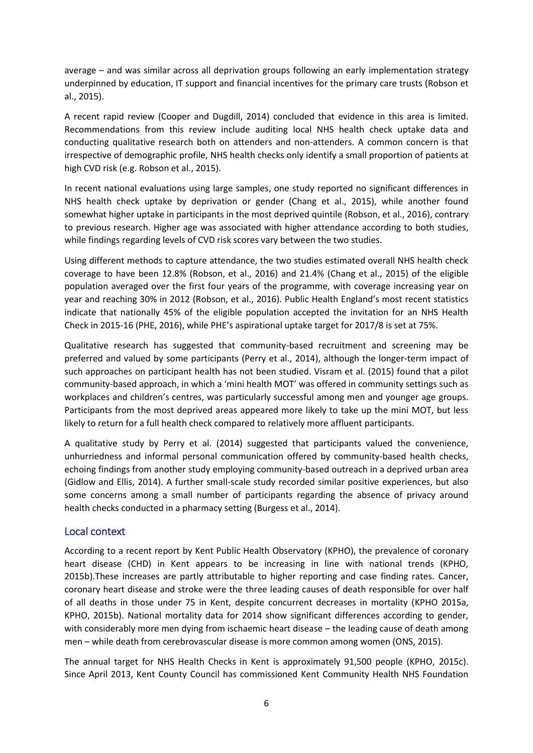average – and was similar across all deprivation groups following an early implementation strategy underpinned by education, IT support and financial incentives for the primary care trusts (Robson et al., 2015).

A recent rapid review (Cooper and Dugdill, 2014) concluded that evidence in this area is limited. Recommendations from this review include auditing local NHS health check uptake data and conducting qualitative research both on attenders and non-attenders. A common concern is that irrespective of demographic profile, NHS health checks only identify a small proportion of patients at high CVD risk (e.g. Robson et al., 2015).

In recent national evaluations using large samples, one study reported no significant differences in NHS health check uptake by deprivation or gender (Chang et al., 2015), while another found somewhat higher uptake in participants in the most deprived quintile (Robson, et al., 2016), contrary to previous research. Higher age was associated with higher attendance according to both studies, while findings regarding levels of CVD risk scores vary between the two studies.

Using different methods to capture attendance, the two studies estimated overall NHS health check coverage to have been 12.8% (Robson, et al., 2016) and 21.4% (Chang et al., 2015) of the eligible population averaged over the first four years of the programme, with coverage increasing year on year and reaching 30% in 2012 (Robson, et al., 2016). Public Health England's most recent statistics indicate that nationally 45% of the eligible population accepted the invitation for an NHS Health Check in 2015-16 (PHE, 2016), while PHE's aspirational uptake target for 2017/8 is set at 75%.

Qualitative research has suggested that community-based recruitment and screening may be preferred and valued by some participants (Perry et al., 2014), although the longer-term impact of such approaches on participant health has not been studied. Visram et al. (2015) found that a pilot community-based approach, in which a 'mini health MOT' was offered in community settings such as workplaces and children's centres, was particularly successful among men and younger age groups. Participants from the most deprived areas appeared more likely to take up the mini MOT, but less likely to return for a full health check compared to relatively more affluent participants.

A qualitative study by Perry et al. (2014) suggested that participants valued the convenience, unhurriedness and informal personal communication offered by community-based health checks, echoing findings from another study employing community-based outreach in a deprived urban area (Gidlow and Ellis, 2014). A further small-scale study recorded similar positive experiences, but also some concerns among a small number of participants regarding the absence of privacy around health checks conducted in a pharmacy setting (Burgess et al., 2014).

#### <span id="page-6-0"></span>Local context

According to a recent report by Kent Public Health Observatory (KPHO), the prevalence of coronary heart disease (CHD) in Kent appears to be increasing in line with national trends (KPHO, 2015b).These increases are partly attributable to higher reporting and case finding rates. Cancer, coronary heart disease and stroke were the three leading causes of death responsible for over half of all deaths in those under 75 in Kent, despite concurrent decreases in mortality (KPHO 2015a, KPHO, 2015b). National mortality data for 2014 show significant differences according to gender, with considerably more men dying from ischaemic heart disease – the leading cause of death among men – while death from cerebrovascular disease is more common among women (ONS, 2015).

The annual target for NHS Health Checks in Kent is approximately 91,500 people (KPHO, 2015c). Since April 2013, Kent County Council has commissioned Kent Community Health NHS Foundation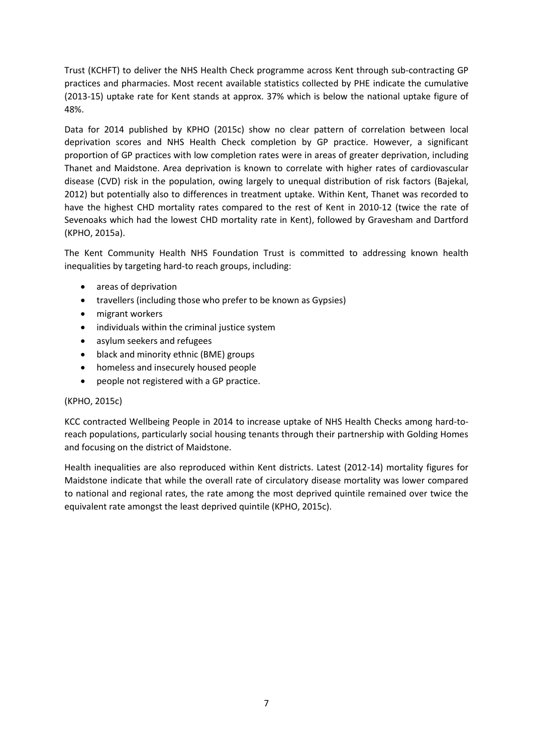Trust (KCHFT) to deliver the NHS Health Check programme across Kent through sub-contracting GP practices and pharmacies. Most recent available statistics collected by PHE indicate the cumulative (2013-15) uptake rate for Kent stands at approx. 37% which is below the national uptake figure of 48%.

Data for 2014 published by KPHO (2015c) show no clear pattern of correlation between local deprivation scores and NHS Health Check completion by GP practice. However, a significant proportion of GP practices with low completion rates were in areas of greater deprivation, including Thanet and Maidstone. Area deprivation is known to correlate with higher rates of cardiovascular disease (CVD) risk in the population, owing largely to unequal distribution of risk factors (Bajekal, 2012) but potentially also to differences in treatment uptake. Within Kent, Thanet was recorded to have the highest CHD mortality rates compared to the rest of Kent in 2010-12 (twice the rate of Sevenoaks which had the lowest CHD mortality rate in Kent), followed by Gravesham and Dartford (KPHO, 2015a).

The Kent Community Health NHS Foundation Trust is committed to addressing known health inequalities by targeting hard-to reach groups, including:

- areas of deprivation
- travellers (including those who prefer to be known as Gypsies)
- migrant workers
- individuals within the criminal justice system
- asylum seekers and refugees
- black and minority ethnic (BME) groups
- homeless and insecurely housed people
- people not registered with a GP practice.

#### (KPHO, 2015c)

KCC contracted Wellbeing People in 2014 to increase uptake of NHS Health Checks among hard-toreach populations, particularly social housing tenants through their partnership with Golding Homes and focusing on the district of Maidstone.

Health inequalities are also reproduced within Kent districts. Latest (2012-14) mortality figures for Maidstone indicate that while the overall rate of circulatory disease mortality was lower compared to national and regional rates, the rate among the most deprived quintile remained over twice the equivalent rate amongst the least deprived quintile (KPHO, 2015c).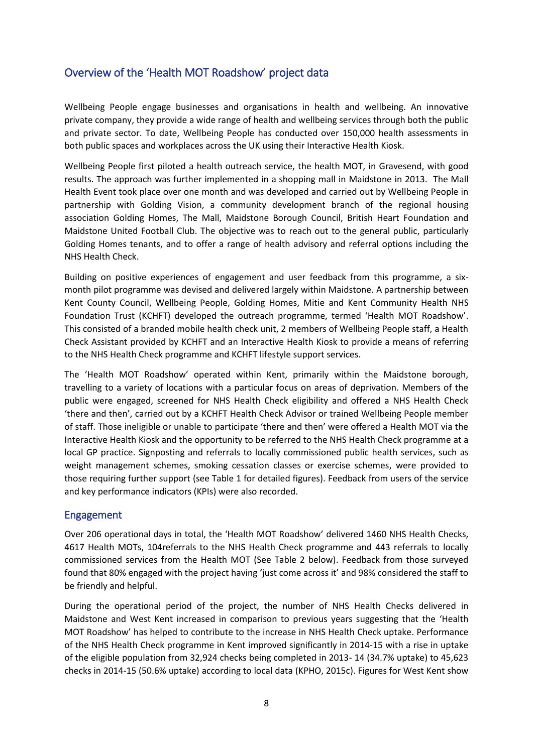# <span id="page-8-0"></span>Overview of the 'Health MOT Roadshow' project data

Wellbeing People engage businesses and organisations in health and wellbeing. An innovative private company, they provide a wide range of health and wellbeing services through both the public and private sector. To date, Wellbeing People has conducted over 150,000 health assessments in both public spaces and workplaces across the UK using their Interactive Health Kiosk.

Wellbeing People first piloted a health outreach service, the health MOT, in Gravesend, with good results. The approach was further implemented in a shopping mall in Maidstone in 2013. The Mall Health Event took place over one month and was developed and carried out by Wellbeing People in partnership with Golding Vision, a community development branch of the regional housing association Golding Homes, The Mall, Maidstone Borough Council, British Heart Foundation and Maidstone United Football Club. The objective was to reach out to the general public, particularly Golding Homes tenants, and to offer a range of health advisory and referral options including the NHS Health Check.

Building on positive experiences of engagement and user feedback from this programme, a sixmonth pilot programme was devised and delivered largely within Maidstone. A partnership between Kent County Council, Wellbeing People, Golding Homes, Mitie and Kent Community Health NHS Foundation Trust (KCHFT) developed the outreach programme, termed 'Health MOT Roadshow'. This consisted of a branded mobile health check unit, 2 members of Wellbeing People staff, a Health Check Assistant provided by KCHFT and an Interactive Health Kiosk to provide a means of referring to the NHS Health Check programme and KCHFT lifestyle support services.

The 'Health MOT Roadshow' operated within Kent, primarily within the Maidstone borough, travelling to a variety of locations with a particular focus on areas of deprivation. Members of the public were engaged, screened for NHS Health Check eligibility and offered a NHS Health Check 'there and then', carried out by a KCHFT Health Check Advisor or trained Wellbeing People member of staff. Those ineligible or unable to participate 'there and then' were offered a Health MOT via the Interactive Health Kiosk and the opportunity to be referred to the NHS Health Check programme at a local GP practice. Signposting and referrals to locally commissioned public health services, such as weight management schemes, smoking cessation classes or exercise schemes, were provided to those requiring further support (see Table 1 for detailed figures). Feedback from users of the service and key performance indicators (KPIs) were also recorded.

#### <span id="page-8-1"></span>Engagement

Over 206 operational days in total, the 'Health MOT Roadshow' delivered 1460 NHS Health Checks, 4617 Health MOTs, 104referrals to the NHS Health Check programme and 443 referrals to locally commissioned services from the Health MOT (See Table 2 below). Feedback from those surveyed found that 80% engaged with the project having 'just come across it' and 98% considered the staff to be friendly and helpful.

During the operational period of the project, the number of NHS Health Checks delivered in Maidstone and West Kent increased in comparison to previous years suggesting that the 'Health MOT Roadshow' has helped to contribute to the increase in NHS Health Check uptake. Performance of the NHS Health Check programme in Kent improved significantly in 2014-15 with a rise in uptake of the eligible population from 32,924 checks being completed in 2013- 14 (34.7% uptake) to 45,623 checks in 2014-15 (50.6% uptake) according to local data (KPHO, 2015c). Figures for West Kent show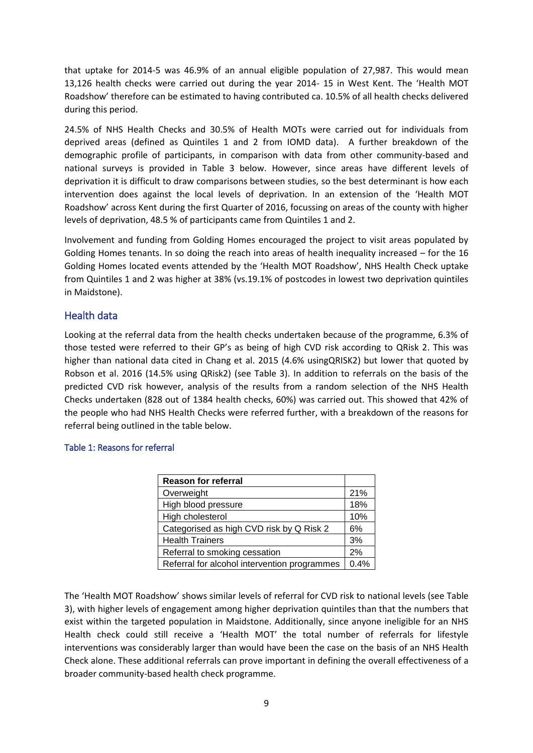that uptake for 2014-5 was 46.9% of an annual eligible population of 27,987. This would mean 13,126 health checks were carried out during the year 2014- 15 in West Kent. The 'Health MOT Roadshow' therefore can be estimated to having contributed ca. 10.5% of all health checks delivered during this period.

24.5% of NHS Health Checks and 30.5% of Health MOTs were carried out for individuals from deprived areas (defined as Quintiles 1 and 2 from IOMD data). A further breakdown of the demographic profile of participants, in comparison with data from other community-based and national surveys is provided in Table 3 below. However, since areas have different levels of deprivation it is difficult to draw comparisons between studies, so the best determinant is how each intervention does against the local levels of deprivation. In an extension of the 'Health MOT Roadshow' across Kent during the first Quarter of 2016, focussing on areas of the county with higher levels of deprivation, 48.5 % of participants came from Quintiles 1 and 2.

Involvement and funding from Golding Homes encouraged the project to visit areas populated by Golding Homes tenants. In so doing the reach into areas of health inequality increased – for the 16 Golding Homes located events attended by the 'Health MOT Roadshow', NHS Health Check uptake from Quintiles 1 and 2 was higher at 38% (vs.19.1% of postcodes in lowest two deprivation quintiles in Maidstone).

## <span id="page-9-0"></span>Health data

Looking at the referral data from the health checks undertaken because of the programme, 6.3% of those tested were referred to their GP's as being of high CVD risk according to QRisk 2. This was higher than national data cited in Chang et al. 2015 (4.6% usingQRISK2) but lower that quoted by Robson et al. 2016 (14.5% using QRisk2) (see Table 3). In addition to referrals on the basis of the predicted CVD risk however, analysis of the results from a random selection of the NHS Health Checks undertaken (828 out of 1384 health checks, 60%) was carried out. This showed that 42% of the people who had NHS Health Checks were referred further, with a breakdown of the reasons for referral being outlined in the table below.

#### <span id="page-9-1"></span>Table 1: Reasons for referral

| <b>Reason for referral</b>                   |      |
|----------------------------------------------|------|
| Overweight                                   | 21%  |
| High blood pressure                          | 18%  |
| High cholesterol                             | 10%  |
| Categorised as high CVD risk by Q Risk 2     | 6%   |
| <b>Health Trainers</b>                       | 3%   |
| Referral to smoking cessation                | 2%   |
| Referral for alcohol intervention programmes | 0.4% |

The 'Health MOT Roadshow' shows similar levels of referral for CVD risk to national levels (see Table 3), with higher levels of engagement among higher deprivation quintiles than that the numbers that exist within the targeted population in Maidstone. Additionally, since anyone ineligible for an NHS Health check could still receive a 'Health MOT' the total number of referrals for lifestyle interventions was considerably larger than would have been the case on the basis of an NHS Health Check alone. These additional referrals can prove important in defining the overall effectiveness of a broader community-based health check programme.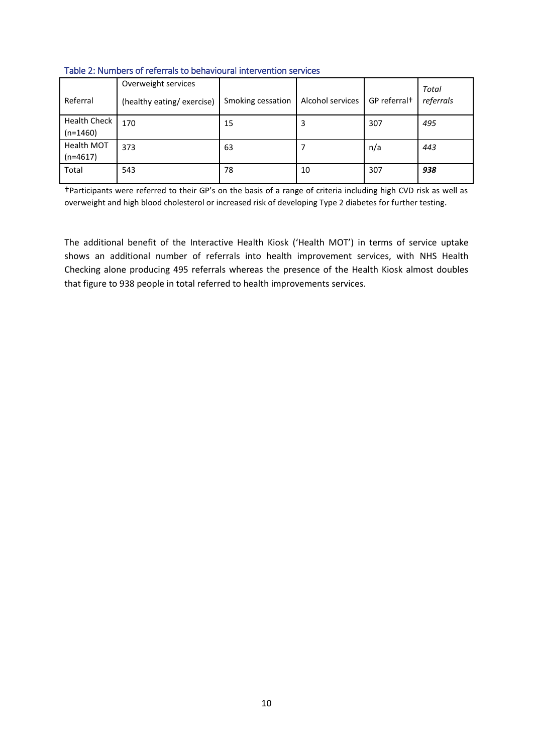| Referral                          | Overweight services<br>(healthy eating/exercise) | Smoking cessation | Alcohol services | GP referral <sup>+</sup> | Total<br>referrals |  |  |
|-----------------------------------|--------------------------------------------------|-------------------|------------------|--------------------------|--------------------|--|--|
| <b>Health Check</b><br>$(n=1460)$ | 170                                              | 15                | 3                | 307                      | 495                |  |  |
| Health MOT<br>$(n=4617)$          | 373                                              | 63                |                  | n/a                      | 443                |  |  |
| Total                             | 543                                              | 78                | 10               | 307                      | 938                |  |  |

<span id="page-10-0"></span>Table 2: Numbers of referrals to behavioural intervention services

†Participants were referred to their GP's on the basis of a range of criteria including high CVD risk as well as overweight and high blood cholesterol or increased risk of developing Type 2 diabetes for further testing.

The additional benefit of the Interactive Health Kiosk ('Health MOT') in terms of service uptake shows an additional number of referrals into health improvement services, with NHS Health Checking alone producing 495 referrals whereas the presence of the Health Kiosk almost doubles that figure to 938 people in total referred to health improvements services.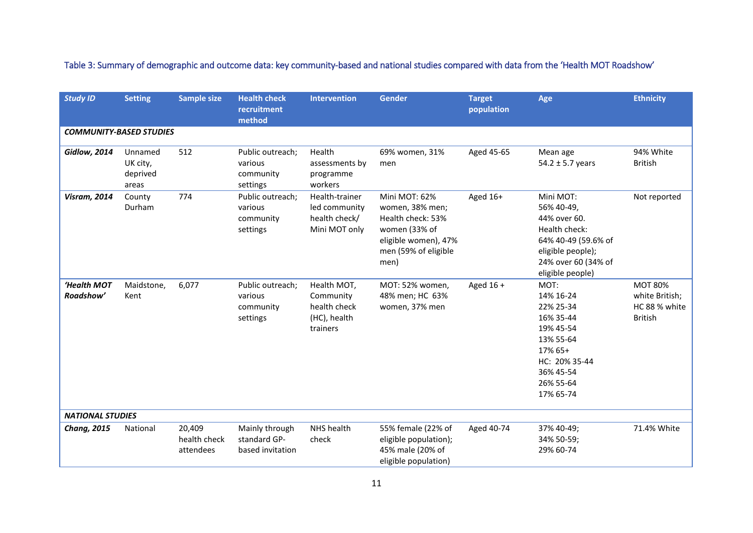<span id="page-11-0"></span>

| <b>Study ID</b>                | <b>Setting</b>                           | <b>Sample size</b>                  | <b>Health check</b><br>recruitment                   | <b>Intervention</b>                                                  | <b>Gender</b>                                                                                                                  | <b>Target</b><br>population | Age                                                                                                                                             | <b>Ethnicity</b>                                                    |
|--------------------------------|------------------------------------------|-------------------------------------|------------------------------------------------------|----------------------------------------------------------------------|--------------------------------------------------------------------------------------------------------------------------------|-----------------------------|-------------------------------------------------------------------------------------------------------------------------------------------------|---------------------------------------------------------------------|
|                                |                                          |                                     | method                                               |                                                                      |                                                                                                                                |                             |                                                                                                                                                 |                                                                     |
| <b>COMMUNITY-BASED STUDIES</b> |                                          |                                     |                                                      |                                                                      |                                                                                                                                |                             |                                                                                                                                                 |                                                                     |
| <b>Gidlow, 2014</b>            | Unnamed<br>UK city,<br>deprived<br>areas | 512                                 | Public outreach;<br>various<br>community<br>settings | Health<br>assessments by<br>programme<br>workers                     | 69% women, 31%<br>men                                                                                                          | Aged 45-65                  | Mean age<br>$54.2 \pm 5.7$ years                                                                                                                | 94% White<br><b>British</b>                                         |
| <b>Visram, 2014</b>            | County<br>Durham                         | 774                                 | Public outreach;<br>various<br>community<br>settings | Health-trainer<br>led community<br>health check/<br>Mini MOT only    | Mini MOT: 62%<br>women, 38% men;<br>Health check: 53%<br>women (33% of<br>eligible women), 47%<br>men (59% of eligible<br>men) | Aged 16+                    | Mini MOT:<br>56% 40-49,<br>44% over 60.<br>Health check:<br>64% 40-49 (59.6% of<br>eligible people);<br>24% over 60 (34% of<br>eligible people) | Not reported                                                        |
| 'Health MOT<br>Roadshow'       | Maidstone,<br>Kent                       | 6,077                               | Public outreach;<br>various<br>community<br>settings | Health MOT,<br>Community<br>health check<br>(HC), health<br>trainers | MOT: 52% women,<br>48% men; HC 63%<br>women, 37% men                                                                           | Aged $16 +$                 | MOT:<br>14% 16-24<br>22% 25-34<br>16% 35-44<br>19% 45-54<br>13% 55-64<br>17% 65+<br>HC: 20% 35-44<br>36% 45-54<br>26% 55-64<br>17% 65-74        | <b>MOT 80%</b><br>white British;<br>HC 88 % white<br><b>British</b> |
| <b>NATIONAL STUDIES</b>        |                                          |                                     |                                                      |                                                                      |                                                                                                                                |                             |                                                                                                                                                 |                                                                     |
| <b>Chang, 2015</b>             | National                                 | 20,409<br>health check<br>attendees | Mainly through<br>standard GP-<br>based invitation   | NHS health<br>check                                                  | 55% female (22% of<br>eligible population);<br>45% male (20% of<br>eligible population)                                        | Aged 40-74                  | 37% 40-49;<br>34% 50-59;<br>29% 60-74                                                                                                           | 71.4% White                                                         |

Table 3: Summary of demographic and outcome data: key community-based and national studies compared with data from the 'Health MOT Roadshow'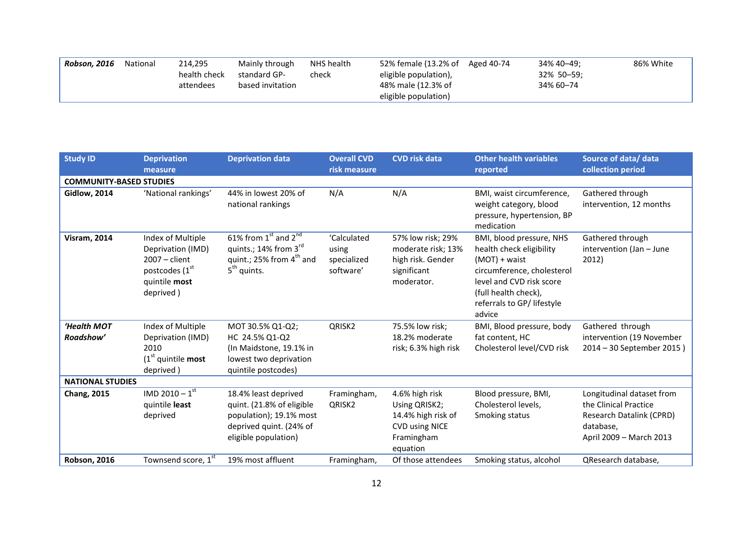| Robson, 2016<br>214,295<br>National<br>NHS health<br>Mainly through<br>health check<br>standard GP-<br>check<br>based invitation<br>attendees | 52% female (13.2% of Aged 40-74<br>eligible population),<br>48% male (12.3% of<br>eligible population) | 86% White<br>34% 40-49:<br>32% 50-59;<br>34% 60-74 |
|-----------------------------------------------------------------------------------------------------------------------------------------------|--------------------------------------------------------------------------------------------------------|----------------------------------------------------|
|-----------------------------------------------------------------------------------------------------------------------------------------------|--------------------------------------------------------------------------------------------------------|----------------------------------------------------|

| <b>Study ID</b>                | <b>Deprivation</b><br>measure                                                                             | <b>Deprivation data</b>                                                                                                         | <b>Overall CVD</b><br>risk measure               | <b>CVD risk data</b>                                                                                     | <b>Other health variables</b><br>reported                                                                                                                                                       | Source of data/ data<br>collection period                                                                              |
|--------------------------------|-----------------------------------------------------------------------------------------------------------|---------------------------------------------------------------------------------------------------------------------------------|--------------------------------------------------|----------------------------------------------------------------------------------------------------------|-------------------------------------------------------------------------------------------------------------------------------------------------------------------------------------------------|------------------------------------------------------------------------------------------------------------------------|
| <b>COMMUNITY-BASED STUDIES</b> |                                                                                                           |                                                                                                                                 |                                                  |                                                                                                          |                                                                                                                                                                                                 |                                                                                                                        |
| <b>Gidlow, 2014</b>            | 'National rankings'                                                                                       | 44% in lowest 20% of<br>national rankings                                                                                       | N/A                                              | N/A                                                                                                      | BMI, waist circumference,<br>weight category, blood<br>pressure, hypertension, BP<br>medication                                                                                                 | Gathered through<br>intervention, 12 months                                                                            |
| <b>Visram, 2014</b>            | Index of Multiple<br>Deprivation (IMD)<br>$2007 - client$<br>postcodes (1st<br>quintile most<br>deprived) | 61% from $1st$ and $2nd$<br>quints.; 14% from $3^{\text{rd}}$<br>quint.; 25% from $4^{\text{th}}$ and<br>$5th$ quints.          | 'Calculated<br>using<br>specialized<br>software' | 57% low risk; 29%<br>moderate risk; 13%<br>high risk. Gender<br>significant<br>moderator.                | BMI, blood pressure, NHS<br>health check eligibility<br>(MOT) + waist<br>circumference, cholesterol<br>level and CVD risk score<br>(full health check),<br>referrals to GP/ lifestyle<br>advice | Gathered through<br>intervention (Jan - June<br>2012)                                                                  |
| 'Health MOT<br>Roadshow'       | Index of Multiple                                                                                         | MOT 30.5% Q1-Q2;                                                                                                                | QRISK <sub>2</sub>                               | 75.5% low risk;<br>18.2% moderate                                                                        | BMI, Blood pressure, body                                                                                                                                                                       | Gathered through                                                                                                       |
|                                | Deprivation (IMD)<br>2010<br>$(1st$ quintile most<br>deprived)                                            | HC 24.5% Q1-Q2<br>(In Maidstone, 19.1% in<br>lowest two deprivation<br>quintile postcodes)                                      |                                                  | risk; 6.3% high risk                                                                                     | fat content, HC<br>Cholesterol level/CVD risk                                                                                                                                                   | intervention (19 November<br>2014 - 30 September 2015)                                                                 |
| <b>NATIONAL STUDIES</b>        |                                                                                                           |                                                                                                                                 |                                                  |                                                                                                          |                                                                                                                                                                                                 |                                                                                                                        |
| <b>Chang, 2015</b>             | IMD 2010 - $1^{\overline{st}}$<br>quintile least<br>deprived                                              | 18.4% least deprived<br>quint. (21.8% of eligible<br>population); 19.1% most<br>deprived quint. (24% of<br>eligible population) | Framingham,<br>QRISK <sub>2</sub>                | 4.6% high risk<br>Using QRISK2;<br>14.4% high risk of<br><b>CVD using NICE</b><br>Framingham<br>equation | Blood pressure, BMI,<br>Cholesterol levels,<br>Smoking status                                                                                                                                   | Longitudinal dataset from<br>the Clinical Practice<br>Research Datalink (CPRD)<br>database,<br>April 2009 - March 2013 |
| <b>Robson, 2016</b>            | Townsend score, 1st                                                                                       | 19% most affluent                                                                                                               | Framingham,                                      | Of those attendees                                                                                       | Smoking status, alcohol                                                                                                                                                                         | QResearch database,                                                                                                    |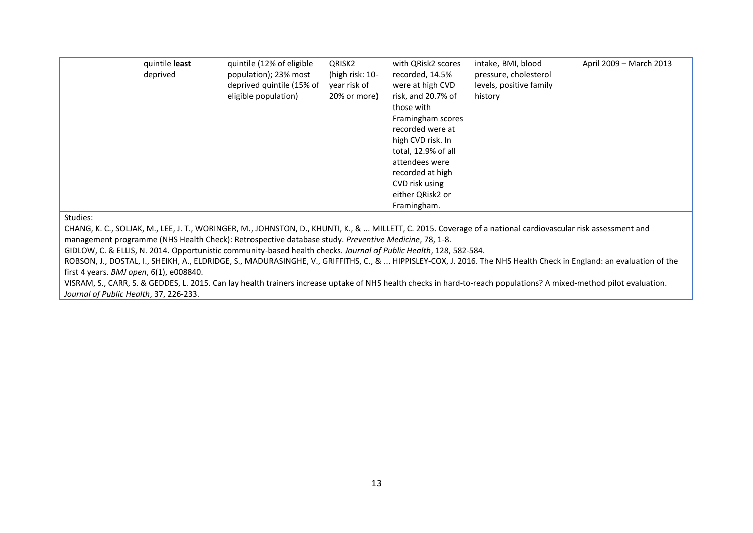| quintile least<br>deprived | quintile (12% of eligible<br>population); 23% most<br>deprived quintile (15% of<br>eligible population) | QRISK2<br>(high risk: 10-<br>year risk of<br>20% or more) | with QRisk2 scores<br>recorded, 14.5%<br>were at high CVD<br>risk, and 20.7% of<br>those with<br>Framingham scores<br>recorded were at<br>high CVD risk. In<br>total, 12.9% of all<br>attendees were<br>recorded at high<br>CVD risk using<br>either QRisk2 or<br>Framingham. | intake, BMI, blood<br>pressure, cholesterol<br>levels, positive family<br>history | April 2009 - March 2013 |
|----------------------------|---------------------------------------------------------------------------------------------------------|-----------------------------------------------------------|-------------------------------------------------------------------------------------------------------------------------------------------------------------------------------------------------------------------------------------------------------------------------------|-----------------------------------------------------------------------------------|-------------------------|
|----------------------------|---------------------------------------------------------------------------------------------------------|-----------------------------------------------------------|-------------------------------------------------------------------------------------------------------------------------------------------------------------------------------------------------------------------------------------------------------------------------------|-----------------------------------------------------------------------------------|-------------------------|

Studies:

CHANG, K. C., SOLJAK, M., LEE, J. T., WORINGER, M., JOHNSTON, D., KHUNTI, K., & ... MILLETT, C. 2015. Coverage of a national cardiovascular risk assessment and management programme (NHS Health Check): Retrospective database study. *Preventive Medicine*, 78, 1-8.

GIDLOW, C. & ELLIS, N. 2014. Opportunistic community-based health checks. *Journal of Public Health*, 128, 582-584.

ROBSON, J., DOSTAL, I., SHEIKH, A., ELDRIDGE, S., MADURASINGHE, V., GRIFFITHS, C., & ... HIPPISLEY-COX, J. 2016. The NHS Health Check in England: an evaluation of the first 4 years. *BMJ open*, 6(1), e008840.

VISRAM, S., CARR, S. & GEDDES, L. 2015. Can lay health trainers increase uptake of NHS health checks in hard-to-reach populations? A mixed-method pilot evaluation. *Journal of Public Health*, 37, 226-233.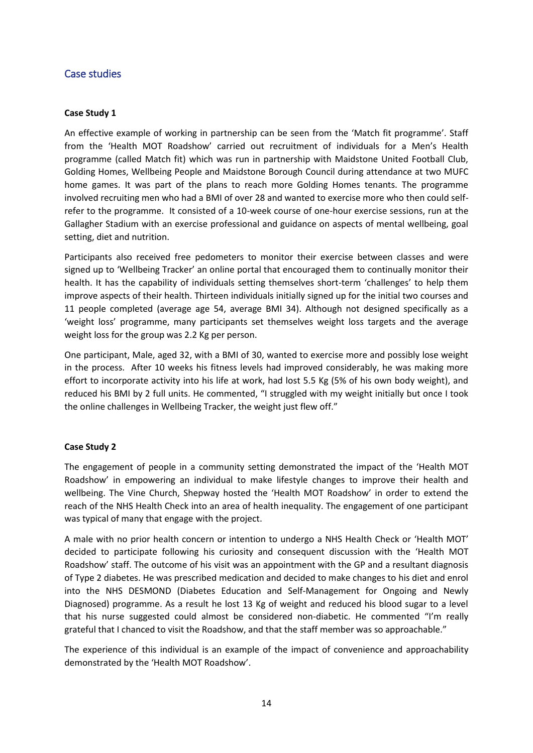# <span id="page-14-0"></span>Case studies

#### **Case Study 1**

An effective example of working in partnership can be seen from the 'Match fit programme'. Staff from the 'Health MOT Roadshow' carried out recruitment of individuals for a Men's Health programme (called Match fit) which was run in partnership with Maidstone United Football Club, Golding Homes, Wellbeing People and Maidstone Borough Council during attendance at two MUFC home games. It was part of the plans to reach more Golding Homes tenants. The programme involved recruiting men who had a BMI of over 28 and wanted to exercise more who then could selfrefer to the programme. It consisted of a 10-week course of one-hour exercise sessions, run at the Gallagher Stadium with an exercise professional and guidance on aspects of mental wellbeing, goal setting, diet and nutrition.

Participants also received free pedometers to monitor their exercise between classes and were signed up to 'Wellbeing Tracker' an online portal that encouraged them to continually monitor their health. It has the capability of individuals setting themselves short-term 'challenges' to help them improve aspects of their health. Thirteen individuals initially signed up for the initial two courses and 11 people completed (average age 54, average BMI 34). Although not designed specifically as a 'weight loss' programme, many participants set themselves weight loss targets and the average weight loss for the group was 2.2 Kg per person.

One participant, Male, aged 32, with a BMI of 30, wanted to exercise more and possibly lose weight in the process. After 10 weeks his fitness levels had improved considerably, he was making more effort to incorporate activity into his life at work, had lost 5.5 Kg (5% of his own body weight), and reduced his BMI by 2 full units. He commented, "I struggled with my weight initially but once I took the online challenges in Wellbeing Tracker, the weight just flew off."

#### **Case Study 2**

The engagement of people in a community setting demonstrated the impact of the 'Health MOT Roadshow' in empowering an individual to make lifestyle changes to improve their health and wellbeing. The Vine Church, Shepway hosted the 'Health MOT Roadshow' in order to extend the reach of the NHS Health Check into an area of health inequality. The engagement of one participant was typical of many that engage with the project.

A male with no prior health concern or intention to undergo a NHS Health Check or 'Health MOT' decided to participate following his curiosity and consequent discussion with the 'Health MOT Roadshow' staff. The outcome of his visit was an appointment with the GP and a resultant diagnosis of Type 2 diabetes. He was prescribed medication and decided to make changes to his diet and enrol into the NHS DESMOND (Diabetes Education and Self-Management for Ongoing and Newly Diagnosed) programme. As a result he lost 13 Kg of weight and reduced his blood sugar to a level that his nurse suggested could almost be considered non-diabetic. He commented "I'm really grateful that I chanced to visit the Roadshow, and that the staff member was so approachable."

The experience of this individual is an example of the impact of convenience and approachability demonstrated by the 'Health MOT Roadshow'.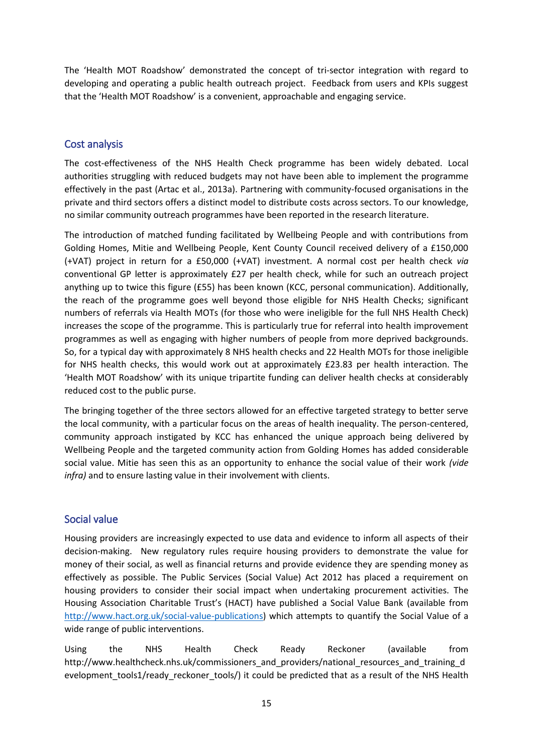The 'Health MOT Roadshow' demonstrated the concept of tri-sector integration with regard to developing and operating a public health outreach project. Feedback from users and KPIs suggest that the 'Health MOT Roadshow' is a convenient, approachable and engaging service.

# <span id="page-15-0"></span>Cost analysis

The cost-effectiveness of the NHS Health Check programme has been widely debated. Local authorities struggling with reduced budgets may not have been able to implement the programme effectively in the past (Artac et al., 2013a). Partnering with community-focused organisations in the private and third sectors offers a distinct model to distribute costs across sectors. To our knowledge, no similar community outreach programmes have been reported in the research literature.

The introduction of matched funding facilitated by Wellbeing People and with contributions from Golding Homes, Mitie and Wellbeing People, Kent County Council received delivery of a £150,000 (+VAT) project in return for a £50,000 (+VAT) investment. A normal cost per health check *via* conventional GP letter is approximately £27 per health check, while for such an outreach project anything up to twice this figure (£55) has been known (KCC, personal communication). Additionally, the reach of the programme goes well beyond those eligible for NHS Health Checks; significant numbers of referrals via Health MOTs (for those who were ineligible for the full NHS Health Check) increases the scope of the programme. This is particularly true for referral into health improvement programmes as well as engaging with higher numbers of people from more deprived backgrounds. So, for a typical day with approximately 8 NHS health checks and 22 Health MOTs for those ineligible for NHS health checks, this would work out at approximately £23.83 per health interaction. The 'Health MOT Roadshow' with its unique tripartite funding can deliver health checks at considerably reduced cost to the public purse.

The bringing together of the three sectors allowed for an effective targeted strategy to better serve the local community, with a particular focus on the areas of health inequality. The person-centered, community approach instigated by KCC has enhanced the unique approach being delivered by Wellbeing People and the targeted community action from Golding Homes has added considerable social value. Mitie has seen this as an opportunity to enhance the social value of their work *(vide infra)* and to ensure lasting value in their involvement with clients.

## <span id="page-15-1"></span>Social value

Housing providers are increasingly expected to use data and evidence to inform all aspects of their decision-making. New regulatory rules require housing providers to demonstrate the value for money of their social, as well as financial returns and provide evidence they are spending money as effectively as possible. The Public Services (Social Value) Act 2012 has placed a requirement on housing providers to consider their social impact when undertaking procurement activities. The Housing Association Charitable Trust's (HACT) have published a Social Value Bank (available from [http://www.hact.org.uk/social-value-publications\)](http://www.hact.org.uk/social-value-publications) which attempts to quantify the Social Value of a wide range of public interventions.

Using the NHS Health Check Ready Reckoner (available from http://www.healthcheck.nhs.uk/commissioners\_and\_providers/national\_resources\_and\_training\_d evelopment\_tools1/ready\_reckoner\_tools/) it could be predicted that as a result of the NHS Health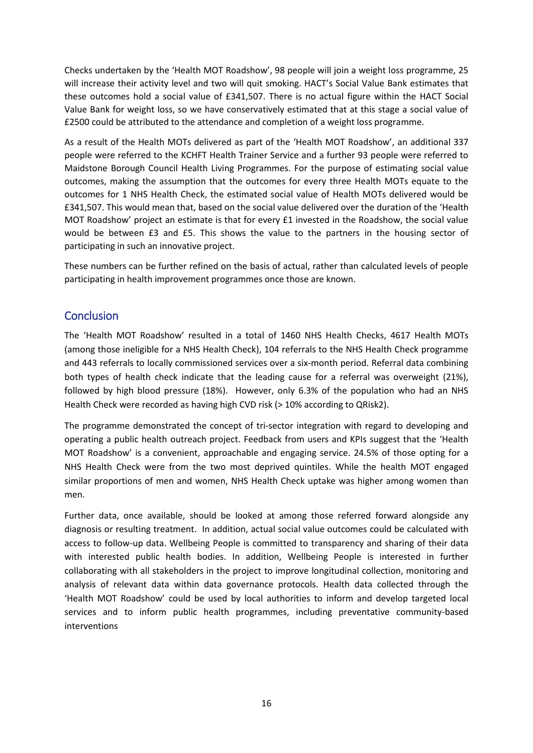Checks undertaken by the 'Health MOT Roadshow', 98 people will join a weight loss programme, 25 will increase their activity level and two will quit smoking. HACT's Social Value Bank estimates that these outcomes hold a social value of £341,507. There is no actual figure within the HACT Social Value Bank for weight loss, so we have conservatively estimated that at this stage a social value of £2500 could be attributed to the attendance and completion of a weight loss programme.

As a result of the Health MOTs delivered as part of the 'Health MOT Roadshow', an additional 337 people were referred to the KCHFT Health Trainer Service and a further 93 people were referred to Maidstone Borough Council Health Living Programmes. For the purpose of estimating social value outcomes, making the assumption that the outcomes for every three Health MOTs equate to the outcomes for 1 NHS Health Check, the estimated social value of Health MOTs delivered would be £341,507. This would mean that, based on the social value delivered over the duration of the 'Health MOT Roadshow' project an estimate is that for every £1 invested in the Roadshow, the social value would be between £3 and £5. This shows the value to the partners in the housing sector of participating in such an innovative project.

These numbers can be further refined on the basis of actual, rather than calculated levels of people participating in health improvement programmes once those are known.

# <span id="page-16-0"></span>**Conclusion**

The 'Health MOT Roadshow' resulted in a total of 1460 NHS Health Checks, 4617 Health MOTs (among those ineligible for a NHS Health Check), 104 referrals to the NHS Health Check programme and 443 referrals to locally commissioned services over a six-month period. Referral data combining both types of health check indicate that the leading cause for a referral was overweight (21%), followed by high blood pressure (18%). However, only 6.3% of the population who had an NHS Health Check were recorded as having high CVD risk (> 10% according to QRisk2).

The programme demonstrated the concept of tri-sector integration with regard to developing and operating a public health outreach project. Feedback from users and KPIs suggest that the 'Health MOT Roadshow' is a convenient, approachable and engaging service. 24.5% of those opting for a NHS Health Check were from the two most deprived quintiles. While the health MOT engaged similar proportions of men and women, NHS Health Check uptake was higher among women than men.

Further data, once available, should be looked at among those referred forward alongside any diagnosis or resulting treatment. In addition, actual social value outcomes could be calculated with access to follow-up data. Wellbeing People is committed to transparency and sharing of their data with interested public health bodies. In addition, Wellbeing People is interested in further collaborating with all stakeholders in the project to improve longitudinal collection, monitoring and analysis of relevant data within data governance protocols. Health data collected through the 'Health MOT Roadshow' could be used by local authorities to inform and develop targeted local services and to inform public health programmes, including preventative community-based interventions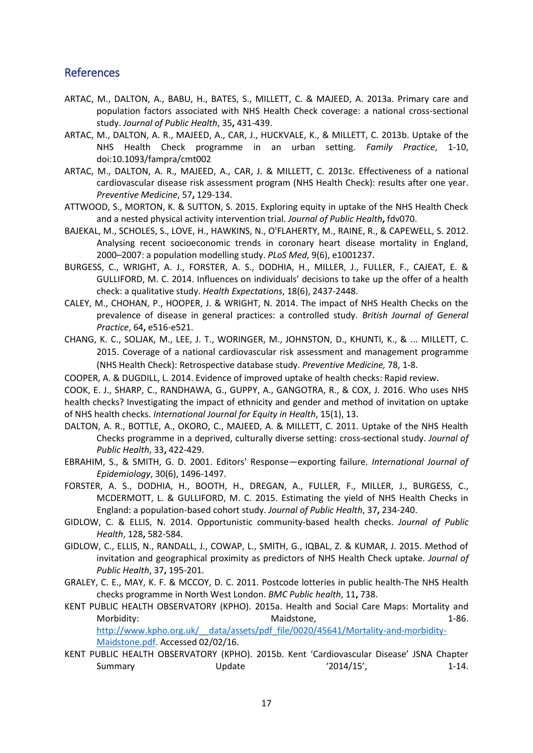# <span id="page-17-0"></span>References

- ARTAC, M., DALTON, A., BABU, H., BATES, S., MILLETT, C. & MAJEED, A. 2013a. Primary care and population factors associated with NHS Health Check coverage: a national cross-sectional study. *Journal of Public Health*, 35**,** 431-439.
- ARTAC, M., DALTON, A. R., MAJEED, A., CAR, J., HUCKVALE, K., & MILLETT, C. 2013b. Uptake of the NHS Health Check programme in an urban setting. *Family Practice*, 1-10, doi:10.1093/fampra/cmt002
- ARTAC, M., DALTON, A. R., MAJEED, A., CAR, J. & MILLETT, C. 2013c. Effectiveness of a national cardiovascular disease risk assessment program (NHS Health Check): results after one year. *Preventive Medicine*, 57**,** 129-134.
- ATTWOOD, S., MORTON, K. & SUTTON, S. 2015. Exploring equity in uptake of the NHS Health Check and a nested physical activity intervention trial. *Journal of Public Health***,** fdv070.
- BAJEKAL, M., SCHOLES, S., LOVE, H., HAWKINS, N., O'FLAHERTY, M., RAINE, R., & CAPEWELL, S. 2012. Analysing recent socioeconomic trends in coronary heart disease mortality in England, 2000–2007: a population modelling study. *PLoS Med*, 9(6), e1001237.
- BURGESS, C., WRIGHT, A. J., FORSTER, A. S., DODHIA, H., MILLER, J., FULLER, F., CAJEAT, E. & GULLIFORD, M. C. 2014. Influences on individuals' decisions to take up the offer of a health check: a qualitative study. *Health Expectations*, 18(6), 2437-2448.
- CALEY, M., CHOHAN, P., HOOPER, J. & WRIGHT, N. 2014. The impact of NHS Health Checks on the prevalence of disease in general practices: a controlled study. *British Journal of General Practice*, 64**,** e516-e521.
- CHANG, K. C., SOLJAK, M., LEE, J. T., WORINGER, M., JOHNSTON, D., KHUNTI, K., & ... MILLETT, C. 2015. Coverage of a national cardiovascular risk assessment and management programme (NHS Health Check): Retrospective database study. *Preventive Medicine,* 78, 1-8.
- COOPER, A. & DUGDILL, L. 2014. Evidence of improved uptake of health checks: Rapid review.
- COOK, E. J., SHARP, C., RANDHAWA, G., GUPPY, A., GANGOTRA, R., & COX, J. 2016. Who uses NHS health checks? Investigating the impact of ethnicity and gender and method of invitation on uptake of NHS health checks. *International Journal for Equity in Health*, 15(1), 13.
- DALTON, A. R., BOTTLE, A., OKORO, C., MAJEED, A. & MILLETT, C. 2011. Uptake of the NHS Health Checks programme in a deprived, culturally diverse setting: cross-sectional study. *Journal of Public Health*, 33**,** 422-429.
- EBRAHIM, S., & SMITH, G. D. 2001. Editors' Response—exporting failure. *International Journal of Epidemiology*, 30(6), 1496-1497.
- FORSTER, A. S., DODHIA, H., BOOTH, H., DREGAN, A., FULLER, F., MILLER, J., BURGESS, C., MCDERMOTT, L. & GULLIFORD, M. C. 2015. Estimating the yield of NHS Health Checks in England: a population-based cohort study. *Journal of Public Health*, 37**,** 234-240.
- GIDLOW, C. & ELLIS, N. 2014. Opportunistic community-based health checks. *Journal of Public Health*, 128**,** 582-584.
- GIDLOW, C., ELLIS, N., RANDALL, J., COWAP, L., SMITH, G., IQBAL, Z. & KUMAR, J. 2015. Method of invitation and geographical proximity as predictors of NHS Health Check uptake. *Journal of Public Health*, 37**,** 195-201.
- GRALEY, C. E., MAY, K. F. & MCCOY, D. C. 2011. Postcode lotteries in public health-The NHS Health checks programme in North West London. *BMC Public health*, 11**,** 738.
- KENT PUBLIC HEALTH OBSERVATORY (KPHO). 2015a. Health and Social Care Maps: Mortality and Morbidity: and the maidstone, the Maidstone, the maidstone of the main state of the maid of the maid of the maid of the maid of the maid of the maid of the maid of the maid of the maid of the maid of the maid of the maid o http://www.kpho.org.uk/ data/assets/pdf file/0020/45641/Mortality-and-morbidity-[Maidstone.pdf.](http://www.kpho.org.uk/__data/assets/pdf_file/0020/45641/Mortality-and-morbidity-Maidstone.pdf) Accessed 02/02/16.
- KENT PUBLIC HEALTH OBSERVATORY (KPHO). 2015b. Kent 'Cardiovascular Disease' JSNA Chapter Summary 1-14.